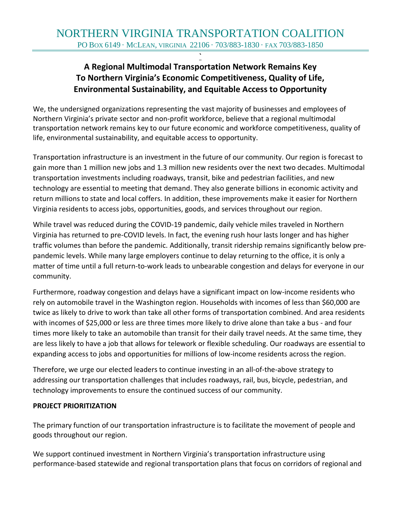**`**

# **A Regional Multimodal Transportation Network Remains Key To Northern Virginia's Economic Competitiveness, Quality of Life, Environmental Sustainability, and Equitable Access to Opportunity**

We, the undersigned organizations representing the vast majority of businesses and employees of Northern Virginia's private sector and non-profit workforce, believe that a regional multimodal transportation network remains key to our future economic and workforce competitiveness, quality of life, environmental sustainability, and equitable access to opportunity.

Transportation infrastructure is an investment in the future of our community. Our region is forecast to gain more than 1 million new jobs and 1.3 million new residents over the next two decades. Multimodal transportation investments including roadways, transit, bike and pedestrian facilities, and new technology are essential to meeting that demand. They also generate billions in economic activity and return millions to state and local coffers. In addition, these improvements make it easier for Northern Virginia residents to access jobs, opportunities, goods, and services throughout our region.

While travel was reduced during the COVID-19 pandemic, daily vehicle miles traveled in Northern Virginia has returned to pre-COVID levels. In fact, the evening rush hour lasts longer and has higher traffic volumes than before the pandemic. Additionally, transit ridership remains significantly below prepandemic levels. While many large employers continue to delay returning to the office, it is only a matter of time until a full return-to-work leads to unbearable congestion and delays for everyone in our community.

Furthermore, roadway congestion and delays have a significant impact on low-income residents who rely on automobile travel in the Washington region. Households with incomes of less than \$60,000 are twice as likely to drive to work than take all other forms of transportation combined. And area residents with incomes of \$25,000 or less are three times more likely to drive alone than take a bus - and four times more likely to take an automobile than transit for their daily travel needs. At the same time, they are less likely to have a job that allows for telework or flexible scheduling. Our roadways are essential to expanding access to jobs and opportunities for millions of low-income residents across the region.

Therefore, we urge our elected leaders to continue investing in an all-of-the-above strategy to addressing our transportation challenges that includes roadways, rail, bus, bicycle, pedestrian, and technology improvements to ensure the continued success of our community.

#### **PROJECT PRIORITIZATION**

The primary function of our transportation infrastructure is to facilitate the movement of people and goods throughout our region.

We support continued investment in Northern Virginia's transportation infrastructure using performance-based statewide and regional transportation plans that focus on corridors of regional and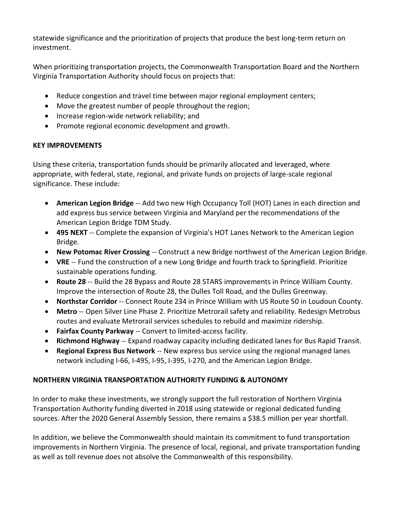statewide significance and the prioritization of projects that produce the best long-term return on investment.

When prioritizing transportation projects, the Commonwealth Transportation Board and the Northern Virginia Transportation Authority should focus on projects that:

- Reduce congestion and travel time between major regional employment centers;
- Move the greatest number of people throughout the region;
- Increase region-wide network reliability; and
- Promote regional economic development and growth.

## **KEY IMPROVEMENTS**

Using these criteria, transportation funds should be primarily allocated and leveraged, where appropriate, with federal, state, regional, and private funds on projects of large-scale regional significance. These include:

- **American Legion Bridge** -- Add two new High Occupancy Toll (HOT) Lanes in each direction and add express bus service between Virginia and Maryland per the recommendations of the American Legion Bridge TDM Study.
- **495 NEXT** -- Complete the expansion of Virginia's HOT Lanes Network to the American Legion Bridge.
- **New Potomac River Crossing** -- Construct a new Bridge northwest of the American Legion Bridge.
- **VRE** -- Fund the construction of a new Long Bridge and fourth track to Springfield. Prioritize sustainable operations funding.
- **Route 28** -- Build the 28 Bypass and Route 28 STARS improvements in Prince William County. Improve the intersection of Route 28, the Dulles Toll Road, and the Dulles Greenway.
- **Northstar Corridor** -- Connect Route 234 in Prince William with US Route 50 in Loudoun County.
- **Metro** -- Open Silver Line Phase 2. Prioritize Metrorail safety and reliability. Redesign Metrobus routes and evaluate Metrorail services schedules to rebuild and maximize ridership.
- **Fairfax County Parkway** -- Convert to limited-access facility.
- **Richmond Highway** -- Expand roadway capacity including dedicated lanes for Bus Rapid Transit.
- **Regional Express Bus Network** -- New express bus service using the regional managed lanes network including I-66, I-495, I-95, I-395, I-270, and the American Legion Bridge.

## **NORTHERN VIRGINIA TRANSPORTATION AUTHORITY FUNDING & AUTONOMY**

In order to make these investments, we strongly support the full restoration of Northern Virginia Transportation Authority funding diverted in 2018 using statewide or regional dedicated funding sources. After the 2020 General Assembly Session, there remains a \$38.5 million per year shortfall.

In addition, we believe the Commonwealth should maintain its commitment to fund transportation improvements in Northern Virginia. The presence of local, regional, and private transportation funding as well as toll revenue does not absolve the Commonwealth of this responsibility.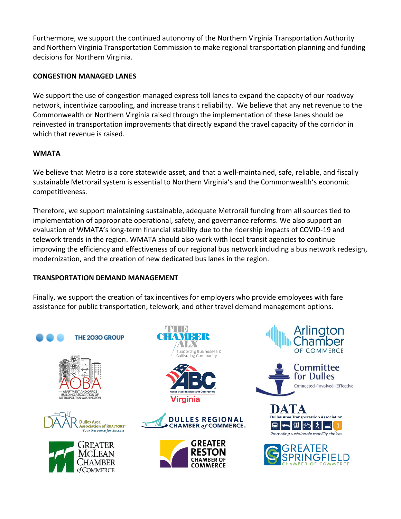Furthermore, we support the continued autonomy of the Northern Virginia Transportation Authority and Northern Virginia Transportation Commission to make regional transportation planning and funding decisions for Northern Virginia.

#### **CONGESTION MANAGED LANES**

We support the use of congestion managed express toll lanes to expand the capacity of our roadway network, incentivize carpooling, and increase transit reliability. We believe that any net revenue to the Commonwealth or Northern Virginia raised through the implementation of these lanes should be reinvested in transportation improvements that directly expand the travel capacity of the corridor in which that revenue is raised.

## **WMATA**

We believe that Metro is a core statewide asset, and that a well-maintained, safe, reliable, and fiscally sustainable Metrorail system is essential to Northern Virginia's and the Commonwealth's economic competitiveness.

Therefore, we support maintaining sustainable, adequate Metrorail funding from all sources tied to implementation of appropriate operational, safety, and governance reforms. We also support an evaluation of WMATA's long-term financial stability due to the ridership impacts of COVID-19 and telework trends in the region. WMATA should also work with local transit agencies to continue improving the efficiency and effectiveness of our regional bus network including a bus network redesign, modernization, and the creation of new dedicated bus lanes in the region.

#### **TRANSPORTATION DEMAND MANAGEMENT**

Finally, we support the creation of tax incentives for employers who provide employees with fare assistance for public transportation, telework, and other travel demand management options.